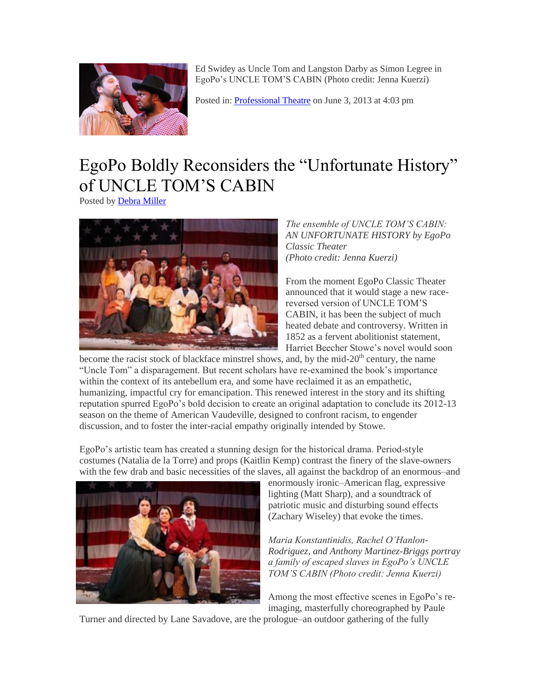

Ed Swidey as Uncle Tom and Langston Darby as Simon Legree in EgoPo's UNCLE TOM'S CABIN (Photo credit: Jenna Kuerzi)

Posted in[: Professional Theatre](http://www.stagemagazine.org/category/reviews/professional-theatre/) on June 3, 2013 at 4:03 pm

## [EgoPo Boldly Reconsiders the "Unfortunate History"](http://www.stagemagazine.org/2013/06/egopo-boldly-reconsiders-the-unfortunate-history-of-uncle-toms-cabin/)  [of UNCLE TOM'S CABIN](http://www.stagemagazine.org/2013/06/egopo-boldly-reconsiders-the-unfortunate-history-of-uncle-toms-cabin/)

Posted by [Debra Miller](http://www.stagemagazine.org/author/alex/)



## *The ensemble of UNCLE TOM'S CABIN: AN UNFORTUNATE HISTORY by EgoPo Classic Theater (Photo credit: Jenna Kuerzi)*

From the moment EgoPo Classic Theater announced that it would stage a new racereversed version of UNCLE TOM'S CABIN, it has been the subject of much heated debate and controversy. Written in 1852 as a fervent abolitionist statement, Harriet Beecher Stowe's novel would soon

become the racist stock of blackface minstrel shows, and, by the mid- $20<sup>th</sup>$  century, the name "Uncle Tom" a disparagement. But recent scholars have re-examined the book's importance within the context of its antebellum era, and some have reclaimed it as an empathetic, humanizing, impactful cry for emancipation. This renewed interest in the story and its shifting reputation spurred EgoPo's bold decision to create an original adaptation to conclude its 2012-13 season on the theme of American Vaudeville, designed to confront racism, to engender discussion, and to foster the inter-racial empathy originally intended by Stowe.

EgoPo's artistic team has created a stunning design for the historical drama. Period-style costumes (Natalia de la Torre) and props (Kaitlin Kemp) contrast the finery of the slave-owners with the few drab and basic necessities of the slaves, all against the backdrop of an enormous–and



enormously ironic–American flag, expressive lighting (Matt Sharp), and a soundtrack of patriotic music and disturbing sound effects (Zachary Wiseley) that evoke the times.

*Maria Konstantinidis, Rachel O'Hanlon-Rodriguez, and Anthony Martinez-Briggs portray a family of escaped slaves in EgoPo's UNCLE TOM'S CABIN (Photo credit: Jenna Kuerzi)*

Among the most effective scenes in EgoPo's reimaging, masterfully choreographed by Paule

Turner and directed by Lane Savadove, are the prologue–an outdoor gathering of the fully